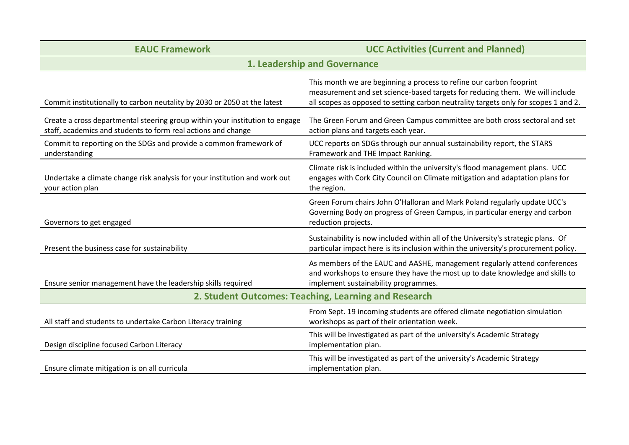| <b>EAUC Framework</b>                                                                                                                         | <b>UCC Activities (Current and Planned)</b>                                                                                                                                                                                                |
|-----------------------------------------------------------------------------------------------------------------------------------------------|--------------------------------------------------------------------------------------------------------------------------------------------------------------------------------------------------------------------------------------------|
| 1. Leadership and Governance                                                                                                                  |                                                                                                                                                                                                                                            |
| Commit institutionally to carbon neutality by 2030 or 2050 at the latest                                                                      | This month we are beginning a process to refine our carbon fooprint<br>measurement and set science-based targets for reducing them. We will include<br>all scopes as opposed to setting carbon neutrality targets only for scopes 1 and 2. |
| Create a cross departmental steering group within your institution to engage<br>staff, academics and students to form real actions and change | The Green Forum and Green Campus committee are both cross sectoral and set<br>action plans and targets each year.                                                                                                                          |
| Commit to reporting on the SDGs and provide a common framework of<br>understanding                                                            | UCC reports on SDGs through our annual sustainability report, the STARS<br>Framework and THE Impact Ranking.                                                                                                                               |
| Undertake a climate change risk analysis for your institution and work out<br>your action plan                                                | Climate risk is included within the university's flood management plans. UCC<br>engages with Cork City Council on Climate mitigation and adaptation plans for<br>the region.                                                               |
| Governors to get engaged                                                                                                                      | Green Forum chairs John O'Halloran and Mark Poland regularly update UCC's<br>Governing Body on progress of Green Campus, in particular energy and carbon<br>reduction projects.                                                            |
| Present the business case for sustainability                                                                                                  | Sustainability is now included within all of the University's strategic plans. Of<br>particular impact here is its inclusion within the university's procurement policy.                                                                   |
| Ensure senior management have the leadership skills required                                                                                  | As members of the EAUC and AASHE, management regularly attend conferences<br>and workshops to ensure they have the most up to date knowledge and skills to<br>implement sustainability programmes.                                         |
| 2. Student Outcomes: Teaching, Learning and Research                                                                                          |                                                                                                                                                                                                                                            |
| All staff and students to undertake Carbon Literacy training                                                                                  | From Sept. 19 incoming students are offered climate negotiation simulation<br>workshops as part of their orientation week.                                                                                                                 |
| Design discipline focused Carbon Literacy                                                                                                     | This will be investigated as part of the university's Academic Strategy<br>implementation plan.                                                                                                                                            |
| Ensure climate mitigation is on all curricula                                                                                                 | This will be investigated as part of the university's Academic Strategy<br>implementation plan.                                                                                                                                            |